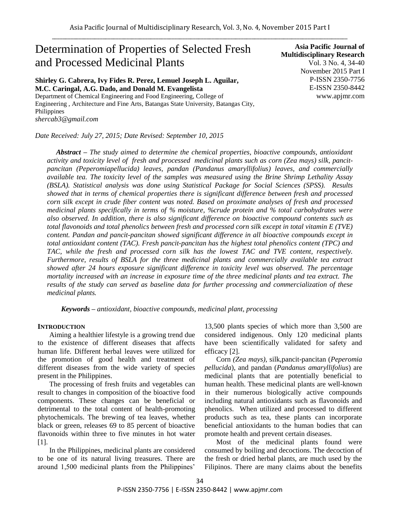# Determination of Properties of Selected Fresh and Processed Medicinal Plants

**Shirley G. Cabrera, Ivy Fides R. Perez, Lemuel Joseph L. Aguilar, M.C. Caringal, A.G. Dado, and Donald M. Evangelista**

Department of Chemical Engineering and Food Engineering, College of Engineering , Architecture and Fine Arts, Batangas State University, Batangas City, Philippines *shercab3@gmail.com*

*Date Received: July 27, 2015; Date Revised: September 10, 2015*

**Asia Pacific Journal of Multidisciplinary Research** Vol. 3 No. 4, 34-40 November 2015 Part I P-ISSN 2350-7756 E-ISSN 2350-8442 www.apjmr.com

*Abstract – The study aimed to determine the chemical properties, bioactive compounds, antioxidant activity and toxicity level of fresh and processed medicinal plants such as corn (Zea mays) silk, pancitpancitan (Peperomiapellucida) leaves, pandan (Pandanus amaryllifolius) leaves, and commercially available tea. The toxicity level of the samples was measured using the Brine Shrimp Lethality Assay (BSLA). Statistical analysis was done using Statistical Package for Social Sciences (SPSS). Results showed that in terms of chemical properties there is significant difference between fresh and processed corn silk except in crude fiber content was noted. Based on proximate analyses of fresh and processed medicinal plants specifically in terms of % moisture, %crude protein and % total carbohydrates were also observed. In addition, there is also significant difference on bioactive compound contents such as total flavonoids and total phenolics between fresh and processed corn silk except in total vitamin E (TVE) content. Pandan and pancit-pancitan showed significant difference in all bioactive compounds except in total antioxidant content (TAC). Fresh pancit-pancitan has the highest total phenolics content (TPC) and TAC, while the fresh and processed corn silk has the lowest TAC and TVE content, respectively. Furthermore, results of BSLA for the three medicinal plants and commercially available tea extract showed after 24 hours exposure significant difference in toxicity level was observed. The percentage mortality increased with an increase in exposure time of the three medicinal plants and tea extract. The results of the study can served as baseline data for further processing and commercialization of these medicinal plants.*

*Keywords – antioxidant, bioactive compounds, medicinal plant, processing*

#### **INTRODUCTION**

Aiming a healthier lifestyle is a growing trend due to the existence of different diseases that affects human life. Different herbal leaves were utilized for the promotion of good health and treatment of different diseases from the wide variety of species present in the Philippines.

The processing of fresh fruits and vegetables can result to changes in composition of the bioactive food components. These changes can be beneficial or detrimental to the total content of health-promoting phytochemicals. The brewing of tea leaves, whether black or green, releases 69 to 85 percent of bioactive flavonoids within three to five minutes in hot water [1].

In the Philippines, medicinal plants are considered to be one of its natural living treasures. There are around 1,500 medicinal plants from the Philippines'

13,500 plants species of which more than 3,500 are considered indigenous. Only 120 medicinal plants have been scientifically validated for safety and efficacy [2].

Corn *(Zea mays)*, silk*,*pancit-pancitan (*Peperomia pellucida*), and pandan (*Pandanus amaryllifolius*) are medicinal plants that are potentially beneficial to human health. These medicinal plants are well-known in their numerous biologically active compounds including natural antioxidants such as flavonoids and phenolics. When utilized and processed to different products such as tea, these plants can incorporate beneficial antioxidants to the human bodies that can promote health and prevent certain diseases.

Most of the medicinal plants found were consumed by boiling and decoctions. The decoction of the fresh or dried herbal plants, are much used by the Filipinos. There are many claims about the benefits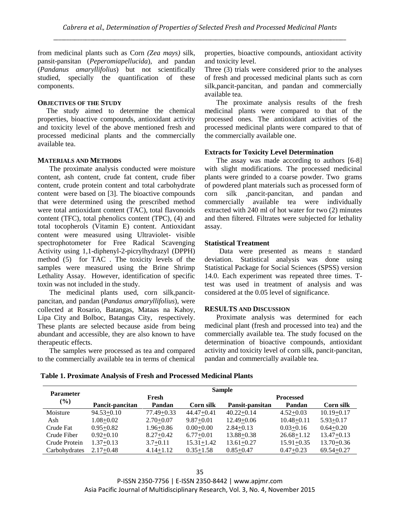from medicinal plants such as Corn *(Zea mays)* silk*,* pansit-pansitan (*Peperomiapellucida*), and pandan (*Pandanus amaryllifolius*) but not scientifically studied, specially the quantification of these components.

#### **OBJECTIVES OF THE STUDY**

The study aimed to determine the chemical properties, bioactive compounds, antioxidant activity and toxicity level of the above mentioned fresh and processed medicinal plants and the commercially available tea.

#### **MATERIALS AND METHODS**

The proximate analysis conducted were moisture content, ash content, crude fat content, crude fiber content, crude protein content and total carbohydrate content were based on [3]. The bioactive compounds that were determined using the prescribed method were total antioxidant content (TAC), total flavonoids content (TFC), total phenolics content (TPC), (4) and total tocopherols (Vitamin E) content. Antioxidant content were measured using Ultraviolet- visible spectrophotometer for Free Radical Scavenging Activity using 1,1-diphenyl-2-picrylhydrazyl (DPPH) method (5) for TAC . The toxicity levels of the samples were measured using the Brine Shrimp Lethality Assay. However, identification of specific toxin was not included in the study.

The medicinal plants used, corn silk*,*pancitpancitan, and pandan (*Pandanus amaryllifolius*), were collected at Rosario, Batangas, Mataas na Kahoy, Lipa City and Bolboc, Batangas City, respectively. These plants are selected because aside from being abundant and accessible, they are also known to have therapeutic effects.

The samples were processed as tea and compared to the commercially available tea in terms of chemical properties, bioactive compounds, antioxidant activity and toxicity level.

Three (3) trials were considered prior to the analyses of fresh and processed medicinal plants such as corn silk*,*pancit-pancitan, and pandan and commercially available tea.

The proximate analysis results of the fresh medicinal plants were compared to that of the processed ones. The antioxidant activities of the processed medicinal plants were compared to that of the commercially available one.

# **Extracts for Toxicity Level Determination**

The assay was made according to authors [6-8] with slight modifications. The processed medicinal plants were grinded to a coarse powder. Two grams of powdered plant materials such as processed form of corn silk *,*pancit-pancitan, and pandan and commercially available tea were individually extracted with 240 ml of hot water for two (2) minutes and then filtered. Filtrates were subjected for lethality assay.

#### **Statistical Treatment**

Data were presented as means ± standard deviation. Statistical analysis was done using Statistical Package for Social Sciences (SPSS) version 14.0. Each experiment was repeated three times. Ttest was used in treatment of analysis and was considered at the 0.05 level of significance.

# **RESULTS AND DISCUSSION**

Proximate analysis was determined for each medicinal plant (fresh and processed into tea) and the commercially available tea. The study focused on the determination of bioactive compounds, antioxidant activity and toxicity level of corn silk*,* pancit-pancitan, pandan and commercially available tea.

| <b>Table 1. Proximate Analysis of Fresh and Processed Medicinal Plants</b> |
|----------------------------------------------------------------------------|
|----------------------------------------------------------------------------|

| <b>Parameter</b> | <b>Sample</b>   |                |                  |                  |                |                |  |
|------------------|-----------------|----------------|------------------|------------------|----------------|----------------|--|
|                  | Fresh           |                |                  | <b>Processed</b> |                |                |  |
| (%)              | Pancit-pancitan | Pandan         | Corn silk        | Pansit-pansitan  | Pandan         | Corn silk      |  |
| Moisture         | $94.53 + 0.10$  | $77.49 + 0.33$ | $44.47 + 0.41$   | $40.22 + 0.14$   | $4.52+0.03$    | $10.19 + 0.17$ |  |
| Ash              | $1.08 + 0.02$   | $2.70+0.07$    | $9.87 + 0.01$    | $12.49 + 0.06$   | $10.48 + 0.11$ | $5.93 + 0.17$  |  |
| Crude Fat        | $0.95 + 0.82$   | $1.96 + 0.86$  | $0.00 + 0.00$    | $2.84 + 0.13$    | $0.03 + 0.16$  | $0.64 + 0.20$  |  |
| Crude Fiber      | $0.92 + 0.10$   | $8.27 + 0.42$  | $6.77+0.01$      | $13.88 + 0.38$   | $26.68 + 1.12$ | $13.47 + 0.13$ |  |
| Crude Protein    | $1.37+0.13$     | $3.7 + 0.11$   | $15.31 \pm 1.42$ | $13.61 + 0.27$   | $15.91 + 0.35$ | $13.70 + 0.36$ |  |
| Carbohydrates    | $2.17+0.48$     | $4.14 + 1.12$  | $0.35 + 1.58$    | $0.85 + 0.47$    | $0.47 + 0.23$  | $69.54 + 0.27$ |  |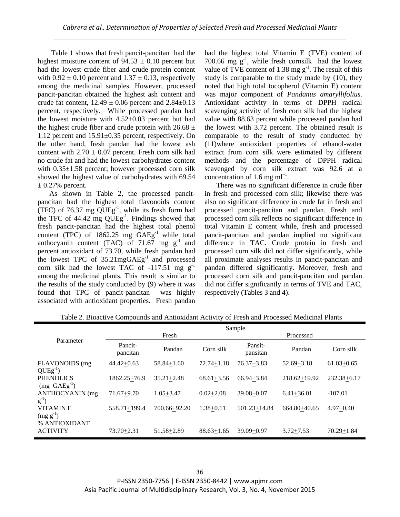Table 1 shows that fresh pancit-pancitan had the highest moisture content of  $94.53 \pm 0.10$  percent but had the lowest crude fiber and crude protein content with  $0.92 \pm 0.10$  percent and  $1.37 \pm 0.13$ , respectively among the medicinal samples. However, processed pancit-pancitan obtained the highest ash content and crude fat content,  $12.49 \pm 0.06$  percent and  $2.84 \pm 0.13$ percent, respectively. While processed pandan had the lowest moisture with 4.52±0.03 percent but had the highest crude fiber and crude protein with  $26.68 \pm$ 1.12 percent and 15.91±0.35 percent, respectively. On the other hand, fresh pandan had the lowest ash content with  $2.70 \pm 0.07$  percent. Fresh corn silk had no crude fat and had the lowest carbohydrates content with  $0.35\pm1.58$  percent; however processed corn silk showed the highest value of carbohydrates with 69.54  $\pm$  0.27% percent.

As shown in Table 2, the processed pancitpancitan had the highest total flavonoids content (TFC) of 76.37 mg  $\text{QUEg}^{-1}$ , while its fresh form had the TFC of  $44.42 \text{ mg }$  QUEg<sup>-1</sup>. Findings showed that fresh pancit-pancitan had the highest total phenol content (TPC) of  $1862.25$  mg  $GAEg^{-1}$  while total anthocyanin content (TAC) of 71.67 mg  $g^{-1}$  and percent antioxidant of 73.70, while fresh pandan had the lowest TPC of  $35.21 \text{mgGAEg}^{-1}$  and processed corn silk had the lowest TAC of  $-117.51$  mg g<sup>-1</sup> among the medicinal plants. This result is similar to the results of the study conducted by (9) where it was found that TPC of pancit-pancitan was highly associated with antioxidant properties. Fresh pandan

had the highest total Vitamin E (TVE) content of 700.66 mg  $g^{-1}$ , while fresh cornsilk had the lowest value of TVE content of 1.38 mg  $g^{-1}$ . The result of this study is comparable to the study made by (10), they noted that high total tocopherol (Vitamin E) content was major component of *Pandanus amaryllifolius*. Antioxidant activity in terms of DPPH radical scavenging activity of fresh corn silk had the highest value with 88.63 percent while processed pandan had the lowest with 3.72 percent. The obtained result is comparable to the result of study conducted by (11)where antioxidant properties of ethanol-water extract from corn silk were estimated by different methods and the percentage of DPPH radical scavenged by corn silk extract was 92.6 at a concentration of 1.6 mg  $ml^{-1}$ .

There was no significant difference in crude fiber in fresh and processed corn silk; likewise there was also no significant difference in crude fat in fresh and processed pancit-pancitan and pandan. Fresh and processed corn silk reflects no significant difference in total Vitamin E content while, fresh and processed pancit-pancitan and pandan implied no significant difference in TAC. Crude protein in fresh and processed corn silk did not differ significantly, while all proximate analyses results in pancit-pancitan and pandan differed significantly. Moreover, fresh and processed corn silk and pancit-pancitan and pandan did not differ significantly in terms of TVE and TAC, respectively (Tables 3 and 4).

|                                                   | Sample              |                |                |                     |                  |                 |
|---------------------------------------------------|---------------------|----------------|----------------|---------------------|------------------|-----------------|
|                                                   | Fresh               |                |                | Processed           |                  |                 |
| Parameter                                         | Pancit-<br>pancitan | Pandan         | Corn silk      | Pansit-<br>pansitan | Pandan           | Corn silk       |
| FLAVONOIDS (mg<br>$QUEg^{-1}$ )                   | $44.42 + 0.63$      | $58.84 + 1.60$ | $72.74 + 1.18$ | $76.37 + 3.83$      | $52.69 + 3.18$   | $61.03 + 0.65$  |
| <b>PHENOLICS</b><br>$(mg \text{ GAEg}^{-1})$      | $1862.25 + 76.9$    | $35.21 + 2.48$ | $68.61 + 3.56$ | $66.94 + 3.84$      | $218.62 + 19.92$ | $232.38 + 6.17$ |
| ANTHOCYANIN (mg<br>$g^{-1}$ )                     | $71.67 + 9.70$      | $1.05 + 3.47$  | $0.02 + 2.08$  | $39.08 + 0.07$      | $6.41 + 36.01$   | $-107.01$       |
| <b>VITAMINE</b><br>$(mg g^{-1})$<br>% ANTIOXIDANT | $558.71 + 199.4$    | 700.66+92.20   | $1.38 + 0.11$  | $501.23 + 14.84$    | $664.80 + 40.65$ | $4.97 + 0.40$   |
| <b>ACTIVITY</b>                                   | $73.70 + 2.31$      | 51.58+2.89     | $88.63 + 1.65$ | $39.09 + 0.97$      | $3.72 + 7.53$    | $70.29 + 1.84$  |

Table 2. Bioactive Compounds and Antioxidant Activity of Fresh and Processed Medicinal Plants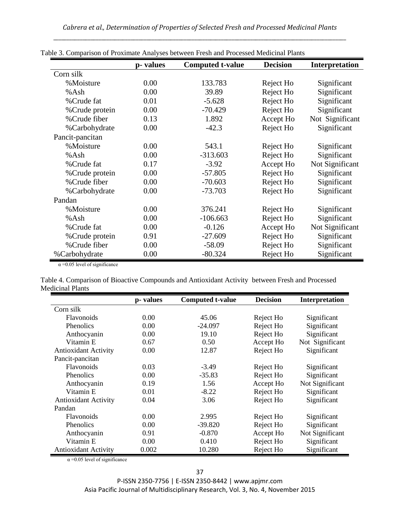|                 | p-values | <b>Computed t-value</b> | <b>Decision</b> | <b>Interpretation</b> |
|-----------------|----------|-------------------------|-----------------|-----------------------|
| Corn silk       |          |                         |                 |                       |
| %Moisture       | 0.00     | 133.783                 | Reject Ho       | Significant           |
| %Ash            | 0.00     | 39.89                   | Reject Ho       | Significant           |
| % Crude fat     | 0.01     | $-5.628$                | Reject Ho       | Significant           |
| % Crude protein | 0.00     | $-70.429$               | Reject Ho       | Significant           |
| %Crude fiber    | 0.13     | 1.892                   | Accept Ho       | Not Significant       |
| %Carbohydrate   | 0.00     | $-42.3$                 | Reject Ho       | Significant           |
| Pancit-pancitan |          |                         |                 |                       |
| %Moisture       | 0.00     | 543.1                   | Reject Ho       | Significant           |
| %Ash            | 0.00     | $-313.603$              | Reject Ho       | Significant           |
| % Crude fat     | 0.17     | $-3.92$                 | Accept Ho       | Not Significant       |
| % Crude protein | 0.00     | $-57.805$               | Reject Ho       | Significant           |
| %Crude fiber    | 0.00     | $-70.603$               | Reject Ho       | Significant           |
| %Carbohydrate   | 0.00     | $-73.703$               | Reject Ho       | Significant           |
| Pandan          |          |                         |                 |                       |
| %Moisture       | 0.00     | 376.241                 | Reject Ho       | Significant           |
| %Ash            | 0.00     | $-106.663$              | Reject Ho       | Significant           |
| %Crude fat      | 0.00     | $-0.126$                | Accept Ho       | Not Significant       |
| % Crude protein | 0.91     | $-27.609$               | Reject Ho       | Significant           |
| %Crude fiber    | 0.00     | $-58.09$                | Reject Ho       | Significant           |
| %Carbohydrate   | 0.00     | $-80.324$               | Reject Ho       | Significant           |

Table 3. Comparison of Proximate Analyses between Fresh and Processed Medicinal Plants

 $\alpha$  =0.05 level of significance

Table 4. Comparison of Bioactive Compounds and Antioxidant Activity between Fresh and Processed Medicinal Plants

|                             | p-values | <b>Computed t-value</b> | <b>Decision</b> | Interpretation  |
|-----------------------------|----------|-------------------------|-----------------|-----------------|
| Corn silk                   |          |                         |                 |                 |
| Flavonoids                  | 0.00     | 45.06                   | Reject Ho       | Significant     |
| <b>Phenolics</b>            | 0.00     | $-24.097$               | Reject Ho       | Significant     |
| Anthocyanin                 | 0.00     | 19.10                   | Reject Ho       | Significant     |
| Vitamin E                   | 0.67     | 0.50                    | Accept Ho       | Not Significant |
| <b>Antioxidant Activity</b> | 0.00     | 12.87                   | Reject Ho       | Significant     |
| Pancit-pancitan             |          |                         |                 |                 |
| Flavonoids                  | 0.03     | $-3.49$                 | Reject Ho       | Significant     |
| Phenolics                   | 0.00     | $-35.83$                | Reject Ho       | Significant     |
| Anthocyanin                 | 0.19     | 1.56                    | Accept Ho       | Not Significant |
| Vitamin E                   | 0.01     | $-8.22$                 | Reject Ho       | Significant     |
| <b>Antioxidant Activity</b> | 0.04     | 3.06                    | Reject Ho       | Significant     |
| Pandan                      |          |                         |                 |                 |
| <b>Flavonoids</b>           | 0.00     | 2.995                   | Reject Ho       | Significant     |
| <b>Phenolics</b>            | 0.00     | $-39.820$               | Reject Ho       | Significant     |
| Anthocyanin                 | 0.91     | $-0.870$                | Accept Ho       | Not Significant |
| Vitamin E                   | 0.00     | 0.410                   | Reject Ho       | Significant     |
| <b>Antioxidant Activity</b> | 0.002    | 10.280                  | Reject Ho       | Significant     |

 $\alpha$  =0.05 level of significance

P-ISSN 2350-7756 | E-ISSN 2350-8442 | www.apjmr.com Asia Pacific Journal of Multidisciplinary Research, Vol. 3, No. 4, November 2015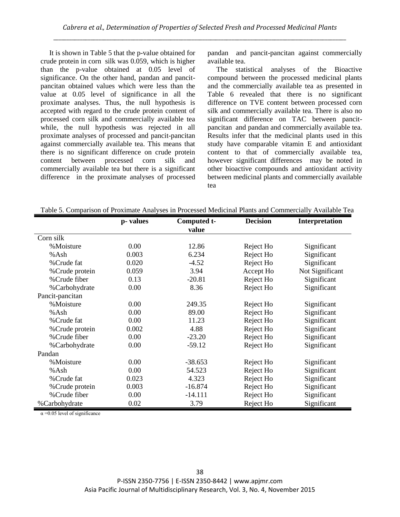It is shown in Table 5 that the p-value obtained for crude protein in corn silk was 0.059, which is higher than the p-value obtained at 0.05 level of significance. On the other hand, pandan and pancitpancitan obtained values which were less than the value at 0.05 level of significance in all the proximate analyses. Thus, the null hypothesis is accepted with regard to the crude protein content of processed corn silk and commercially available tea while, the null hypothesis was rejected in all proximate analyses of processed and pancit-pancitan against commercially available tea. This means that there is no significant difference on crude protein content between processed corn silk and commercially available tea but there is a significant difference in the proximate analyses of processed

pandan and pancit-pancitan against commercially available tea.

The statistical analyses of the Bioactive compound between the processed medicinal plants and the commercially available tea as presented in Table 6 revealed that there is no significant difference on TVE content between processed corn silk and commercially available tea. There is also no significant difference on TAC between pancitpancitan and pandan and commercially available tea. Results infer that the medicinal plants used in this study have comparable vitamin E and antioxidant content to that of commercially available tea, however significant differences may be noted in other bioactive compounds and antioxidant activity between medicinal plants and commercially available tea

|                 | p-values | Computed t-<br>value | <b>Decision</b> | Interpretation  |
|-----------------|----------|----------------------|-----------------|-----------------|
| Corn silk       |          |                      |                 |                 |
| %Moisture       | 0.00     | 12.86                | Reject Ho       | Significant     |
| %Ash            | 0.003    | 6.234                | Reject Ho       | Significant     |
| % Crude fat     | 0.020    | $-4.52$              | Reject Ho       | Significant     |
| % Crude protein | 0.059    | 3.94                 | Accept Ho       | Not Significant |
| %Crude fiber    | 0.13     | $-20.81$             | Reject Ho       | Significant     |
| %Carbohydrate   | 0.00     | 8.36                 | Reject Ho       | Significant     |
| Pancit-pancitan |          |                      |                 |                 |
| %Moisture       | 0.00     | 249.35               | Reject Ho       | Significant     |
| %Ash            | 0.00     | 89.00                | Reject Ho       | Significant     |
| % Crude fat     | 0.00     | 11.23                | Reject Ho       | Significant     |
| % Crude protein | 0.002    | 4.88                 | Reject Ho       | Significant     |
| %Crude fiber    | 0.00     | $-23.20$             | Reject Ho       | Significant     |
| %Carbohydrate   | 0.00     | $-59.12$             | Reject Ho       | Significant     |
| Pandan          |          |                      |                 |                 |
| %Moisture       | 0.00     | $-38.653$            | Reject Ho       | Significant     |
| %Ash            | 0.00     | 54.523               | Reject Ho       | Significant     |
| % Crude fat     | 0.023    | 4.323                | Reject Ho       | Significant     |
| % Crude protein | 0.003    | $-16.874$            | Reject Ho       | Significant     |
| %Crude fiber    | 0.00     | $-14.111$            | Reject Ho       | Significant     |
| %Carbohydrate   | 0.02     | 3.79                 | Reject Ho       | Significant     |

Table 5. Comparison of Proximate Analyses in Processed Medicinal Plants and Commercially Available Tea

 $\alpha$  =0.05 level of significance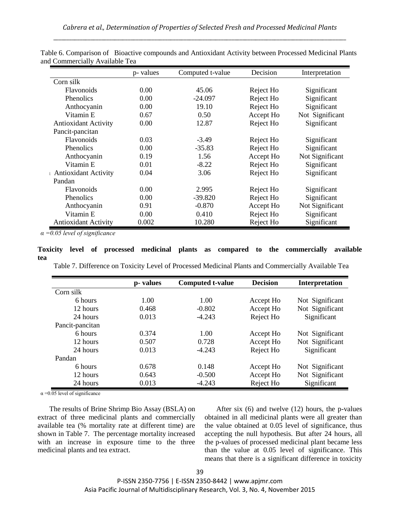|                             | p- values | Computed t-value | Decision  | Interpretation  |
|-----------------------------|-----------|------------------|-----------|-----------------|
| Corn silk                   |           |                  |           |                 |
| <b>Flavonoids</b>           | 0.00      | 45.06            | Reject Ho | Significant     |
| Phenolics                   | 0.00      | $-24.097$        | Reject Ho | Significant     |
| Anthocyanin                 | 0.00      | 19.10            | Reject Ho | Significant     |
| Vitamin E                   | 0.67      | 0.50             | Accept Ho | Not Significant |
| Antioxidant Activity        | 0.00      | 12.87            | Reject Ho | Significant     |
| Pancit-pancitan             |           |                  |           |                 |
| Flavonoids                  | 0.03      | $-3.49$          | Reject Ho | Significant     |
| <b>Phenolics</b>            | 0.00      | $-35.83$         | Reject Ho | Significant     |
| Anthocyanin                 | 0.19      | 1.56             | Accept Ho | Not Significant |
| Vitamin E                   | 0.01      | $-8.22$          | Reject Ho | Significant     |
| Antioxidant Activity        | 0.04      | 3.06             | Reject Ho | Significant     |
| Pandan                      |           |                  |           |                 |
| <b>Flavonoids</b>           | 0.00      | 2.995            | Reject Ho | Significant     |
| <b>Phenolics</b>            | 0.00      | $-39.820$        | Reject Ho | Significant     |
| Anthocyanin                 | 0.91      | $-0.870$         | Accept Ho | Not Significant |
| Vitamin E                   | 0.00      | 0.410            | Reject Ho | Significant     |
| <b>Antioxidant Activity</b> | 0.002     | 10.280           | Reject Ho | Significant     |

Table 6. Comparison of Bioactive compounds and Antioxidant Activity between Processed Medicinal Plants and Commercially Available Tea

*α =0.05 level of significance*

# **Toxicity level of processed medicinal plants as compared to the commercially available tea**

Table 7. Difference on Toxicity Level of Processed Medicinal Plants and Commercially Available Tea

|                 | p-values | <b>Computed t-value</b> | <b>Decision</b> | <b>Interpretation</b> |
|-----------------|----------|-------------------------|-----------------|-----------------------|
| Corn silk       |          |                         |                 |                       |
| 6 hours         | 1.00     | 1.00                    | Accept Ho       | Not Significant       |
| 12 hours        | 0.468    | $-0.802$                | Accept Ho       | Not Significant       |
| 24 hours        | 0.013    | $-4.243$                | Reject Ho       | Significant           |
| Pancit-pancitan |          |                         |                 |                       |
| 6 hours         | 0.374    | 1.00                    | Accept Ho       | Not Significant       |
| 12 hours        | 0.507    | 0.728                   | Accept Ho       | Not Significant       |
| 24 hours        | 0.013    | $-4.243$                | Reject Ho       | Significant           |
| Pandan          |          |                         |                 |                       |
| 6 hours         | 0.678    | 0.148                   | Accept Ho       | Not Significant       |
| 12 hours        | 0.643    | $-0.500$                | Accept Ho       | Not Significant       |
| 24 hours        | 0.013    | $-4.243$                | Reject Ho       | Significant           |

 $\alpha$  =0.05 level of significance

The results of Brine Shrimp Bio Assay (BSLA) on extract of three medicinal plants and commercially available tea (% mortality rate at different time) are shown in Table 7. The percentage mortality increased with an increase in exposure time to the three medicinal plants and tea extract.

After six (6) and twelve (12) hours, the p-values obtained in all medicinal plants were all greater than the value obtained at 0.05 level of significance, thus accepting the null hypothesis. But after 24 hours, all the p-values of processed medicinal plant became less than the value at 0.05 level of significance. This means that there is a significant difference in toxicity